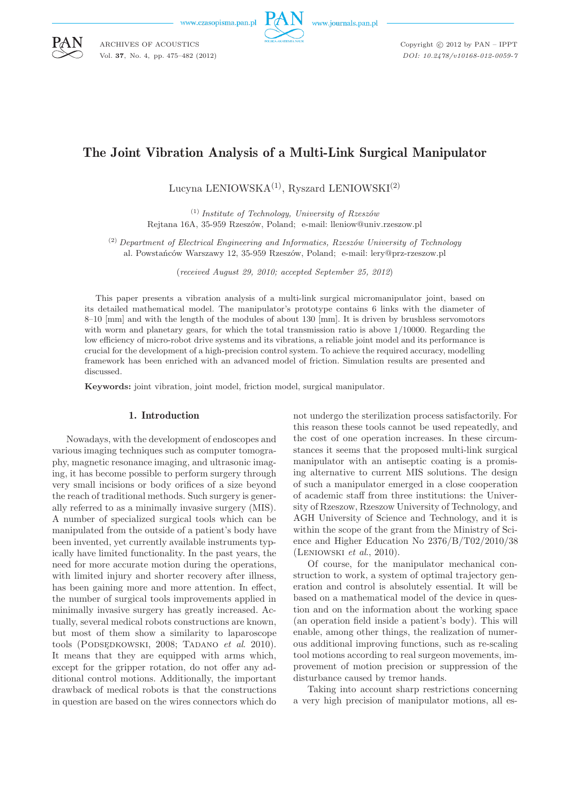www.czasopisma.pan.pl

ARCHIVES OF ACOUSTICS Vol. **37**, No. 4, pp. 475–482 (2012)



www.journals.pan.pl

Copyright  $\odot$  2012 by PAN - IPPT *DOI: 10.2478/v10168-012-0059-7*

# The Joint Vibration Analysis of a Multi-Link Surgical Manipulator

Lucyna LENIOWSKA(1), Ryszard LENIOWSKI(2)

(1) *Institute of Technology, University of Rzeszów* Rejtana 16A, 35-959 Rzeszów, Poland; e-mail: lleniow@univ.rzeszow.pl

(2) *Department of Electrical Engineering and Informatics, Rzeszów University of Technology* al. Powstańców Warszawy 12, 35-959 Rzeszów, Poland; e-mail: lery@prz-rzeszow.pl

(*received August 29, 2010; accepted September 25, 2012*)

This paper presents a vibration analysis of a multi-link surgical micromanipulator joint, based on its detailed mathematical model. The manipulator's prototype contains 6 links with the diameter of 8–10 [mm] and with the length of the modules of about 130 [mm]. It is driven by brushless servomotors with worm and planetary gears, for which the total transmission ratio is above  $1/10000$ . Regarding the low efficiency of micro-robot drive systems and its vibrations, a reliable joint model and its performance is crucial for the development of a high-precision control system. To achieve the required accuracy, modelling framework has been enriched with an advanced model of friction. Simulation results are presented and discussed.

**Keywords:** joint vibration, joint model, friction model, surgical manipulator.

# 1. Introduction

Nowadays, with the development of endoscopes and various imaging techniques such as computer tomography, magnetic resonance imaging, and ultrasonic imaging, it has become possible to perform surgery through very small incisions or body orifices of a size beyond the reach of traditional methods. Such surgery is generally referred to as a minimally invasive surgery (MIS). A number of specialized surgical tools which can be manipulated from the outside of a patient's body have been invented, yet currently available instruments typically have limited functionality. In the past years, the need for more accurate motion during the operations, with limited injury and shorter recovery after illness, has been gaining more and more attention. In effect, the number of surgical tools improvements applied in minimally invasive surgery has greatly increased. Actually, several medical robots constructions are known, but most of them show a similarity to laparoscope tools (PODSEDKOWSKI, 2008; TADANO *et al.* 2010). It means that they are equipped with arms which, except for the gripper rotation, do not offer any additional control motions. Additionally, the important drawback of medical robots is that the constructions in question are based on the wires connectors which do not undergo the sterilization process satisfactorily. For this reason these tools cannot be used repeatedly, and the cost of one operation increases. In these circumstances it seems that the proposed multi-link surgical manipulator with an antiseptic coating is a promising alternative to current MIS solutions. The design of such a manipulator emerged in a close cooperation of academic staff from three institutions: the University of Rzeszow, Rzeszow University of Technology, and AGH University of Science and Technology, and it is within the scope of the grant from the Ministry of Science and Higher Education No 2376/B/T02/2010/38 (Leniowski *et al*., 2010).

Of course, for the manipulator mechanical construction to work, a system of optimal trajectory generation and control is absolutely essential. It will be based on a mathematical model of the device in question and on the information about the working space (an operation field inside a patient's body). This will enable, among other things, the realization of numerous additional improving functions, such as re-scaling tool motions according to real surgeon movements, improvement of motion precision or suppression of the disturbance caused by tremor hands.

Taking into account sharp restrictions concerning a very high precision of manipulator motions, all es-

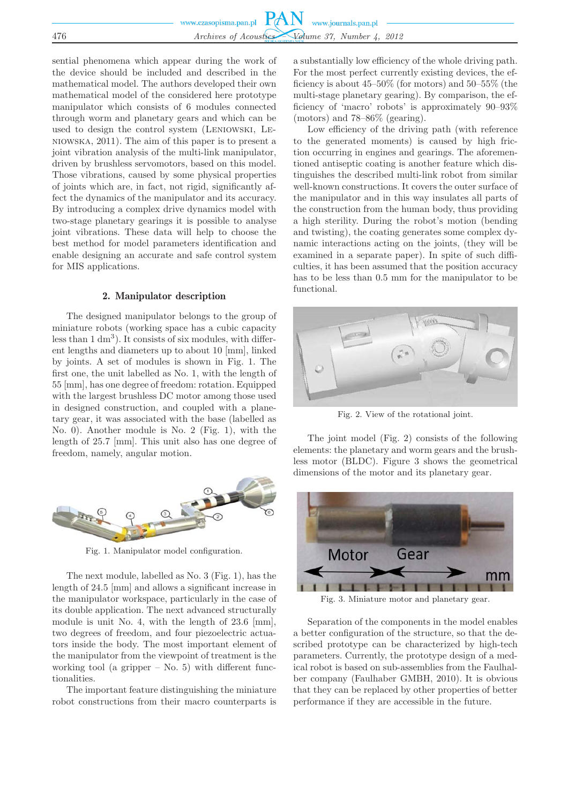|     | www.czasopisma.pan.pl $PAN$ www.journals.pan.pl   |
|-----|---------------------------------------------------|
|     |                                                   |
|     |                                                   |
| 476 | Archives of Acoustics - Volume 37, Number 4, 2012 |
|     |                                                   |

sential phenomena which appear during the work of the device should be included and described in the mathematical model. The authors developed their own mathematical model of the considered here prototype manipulator which consists of 6 modules connected through worm and planetary gears and which can be used to design the control system (Leniowski, Leniowska, 2011). The aim of this paper is to present a joint vibration analysis of the multi-link manipulator, driven by brushless servomotors, based on this model. Those vibrations, caused by some physical properties of joints which are, in fact, not rigid, significantly affect the dynamics of the manipulator and its accuracy. By introducing a complex drive dynamics model with two-stage planetary gearings it is possible to analyse joint vibrations. These data will help to choose the best method for model parameters identification and enable designing an accurate and safe control system for MIS applications.

## 2. Manipulator description

The designed manipulator belongs to the group of miniature robots (working space has a cubic capacity less than 1 dm<sup>3</sup> ). It consists of six modules, with different lengths and diameters up to about 10 [mm], linked by joints. A set of modules is shown in Fig. 1. The first one, the unit labelled as No. 1, with the length of 55 [mm], has one degree of freedom: rotation. Equipped with the largest brushless DC motor among those used in designed construction, and coupled with a planetary gear, it was associated with the base (labelled as No. 0). Another module is No. 2 (Fig. 1), with the length of 25.7 [mm]. This unit also has one degree of freedom, namely, angular motion.



Fig. 1. Manipulator model configuration.

The next module, labelled as No. 3 (Fig. 1), has the length of 24.5 [mm] and allows a significant increase in the manipulator workspace, particularly in the case of its double application. The next advanced structurally module is unit No. 4, with the length of 23.6 [mm], two degrees of freedom, and four piezoelectric actuators inside the body. The most important element of the manipulator from the viewpoint of treatment is the working tool (a gripper  $-$  No. 5) with different functionalities.

The important feature distinguishing the miniature robot constructions from their macro counterparts is a substantially low efficiency of the whole driving path. For the most perfect currently existing devices, the efficiency is about 45–50% (for motors) and 50–55% (the multi-stage planetary gearing). By comparison, the efficiency of 'macro' robots' is approximately 90–93% (motors) and 78–86% (gearing).

Low efficiency of the driving path (with reference to the generated moments) is caused by high friction occurring in engines and gearings. The aforementioned antiseptic coating is another feature which distinguishes the described multi-link robot from similar well-known constructions. It covers the outer surface of the manipulator and in this way insulates all parts of the construction from the human body, thus providing a high sterility. During the robot's motion (bending and twisting), the coating generates some complex dynamic interactions acting on the joints, (they will be examined in a separate paper). In spite of such difficulties, it has been assumed that the position accuracy has to be less than 0.5 mm for the manipulator to be functional.



Fig. 2. View of the rotational joint.

The joint model (Fig. 2) consists of the following elements: the planetary and worm gears and the brushless motor (BLDC). Figure 3 shows the geometrical dimensions of the motor and its planetary gear.



Fig. 3. Miniature motor and planetary gear.

Separation of the components in the model enables a better configuration of the structure, so that the described prototype can be characterized by high-tech parameters. Currently, the prototype design of a medical robot is based on sub-assemblies from the Faulhalber company (Faulhaber GMBH, 2010). It is obvious that they can be replaced by other properties of better performance if they are accessible in the future.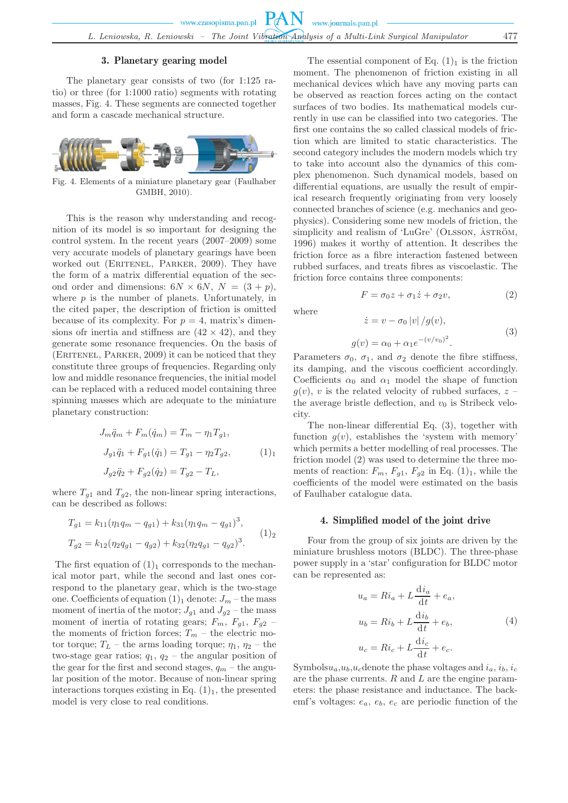## 3. Planetary gearing model

The planetary gear consists of two (for 1:125 ratio) or three (for 1:1000 ratio) segments with rotating masses, Fig. 4. These segments are connected together and form a cascade mechanical structure.



Fig. 4. Elements of a miniature planetary gear (Faulhaber GMBH, 2010).

This is the reason why understanding and recognition of its model is so important for designing the control system. In the recent years (2007–2009) some very accurate models of planetary gearings have been worked out (ERITENEL, PARKER, 2009). They have the form of a matrix differential equation of the second order and dimensions:  $6N \times 6N$ ,  $N = (3 + p)$ , where  $p$  is the number of planets. Unfortunately, in the cited paper, the description of friction is omitted because of its complexity. For  $p = 4$ , matrix's dimensions of inertia and stiffness are  $(42 \times 42)$ , and they generate some resonance frequencies. On the basis of (ERITENEL, PARKER, 2009) it can be noticed that they constitute three groups of frequencies. Regarding only low and middle resonance frequencies, the initial model can be replaced with a reduced model containing three spinning masses which are adequate to the miniature planetary construction:

$$
J_m \ddot{q}_m + F_m(\dot{q}_m) = T_m - \eta_1 T_{g1},
$$
  
\n
$$
J_{g1} \ddot{q}_1 + F_{g1}(\dot{q}_1) = T_{g1} - \eta_2 T_{g2},
$$
  
\n
$$
J_{g2} \ddot{q}_2 + F_{g2}(\dot{q}_2) = T_{g2} - T_L,
$$
  
\n(1)<sub>1</sub>

where  $T_{g1}$  and  $T_{g2}$ , the non-linear spring interactions, can be described as follows:

$$
T_{g1} = k_{11}(\eta_1 q_m - q_{g1}) + k_{31}(\eta_1 q_m - q_{g1})^3,
$$
  
\n
$$
T_{g2} = k_{12}(\eta_2 q_{g1} - q_{g2}) + k_{32}(\eta_2 q_{g1} - q_{g2})^3.
$$
\n(1)

The first equation of  $(1)<sub>1</sub>$  corresponds to the mechanical motor part, while the second and last ones correspond to the planetary gear, which is the two-stage one. Coefficients of equation  $(1)_1$  denote:  $J_m$  – the mass moment of inertia of the motor;  $J_{q1}$  and  $J_{q2}$  – the mass moment of inertia of rotating gears;  $F_m$ ,  $F_{g1}$ ,  $F_{g2}$  – the moments of friction forces;  $T_m$  – the electric motor torque;  $T_L$  – the arms loading torque;  $\eta_1$ ,  $\eta_2$  – the two-stage gear ratios;  $q_1$ ,  $q_2$  – the angular position of the gear for the first and second stages,  $q_m$  – the angular position of the motor. Because of non-linear spring interactions torques existing in Eq.  $(1)<sub>1</sub>$ , the presented model is very close to real conditions.

The essential component of Eq.  $(1)<sub>1</sub>$  is the friction moment. The phenomenon of friction existing in all mechanical devices which have any moving parts can be observed as reaction forces acting on the contact surfaces of two bodies. Its mathematical models currently in use can be classified into two categories. The first one contains the so called classical models of friction which are limited to static characteristics. The second category includes the modern models which try to take into account also the dynamics of this complex phenomenon. Such dynamical models, based on differential equations, are usually the result of empirical research frequently originating from very loosely connected branches of science (e.g. mechanics and geophysics). Considering some new models of friction, the simplicity and realism of 'LuGre' (OLSSON,  $\AA$ STRÖM, 1996) makes it worthy of attention. It describes the friction force as a fibre interaction fastened between rubbed surfaces, and treats fibres as viscoelastic. The friction force contains three components:

$$
F = \sigma_0 z + \sigma_1 \dot{z} + \sigma_2 v,\tag{2}
$$

where

$$
g(v) = \alpha_0 + \alpha_1 e^{-(v/v_0)^2}.
$$
 (3)

Parameters  $\sigma_0$ ,  $\sigma_1$ , and  $\sigma_2$  denote the fibre stiffness, its damping, and the viscous coefficient accordingly. Coefficients  $\alpha_0$  and  $\alpha_1$  model the shape of function  $g(v)$ , v is the related velocity of rubbed surfaces, z – the average bristle deflection, and  $v_0$  is Stribeck velocity.

 $\dot{z} = v - \sigma_0 |v| / q(v),$ 

The non-linear differential Eq. (3), together with function  $q(v)$ , establishes the 'system with memory' which permits a better modelling of real processes. The friction model (2) was used to determine the three moments of reaction:  $F_m$ ,  $F_{g1}$ ,  $F_{g2}$  in Eq. (1)<sub>1</sub>, while the coefficients of the model were estimated on the basis of Faulhaber catalogue data.

## 4. Simplified model of the joint drive

Four from the group of six joints are driven by the miniature brushless motors (BLDC). The three-phase power supply in a 'star' configuration for BLDC motor can be represented as:

$$
u_a = Ri_a + L\frac{di_a}{dt} + e_a,
$$
  
\n
$$
u_b = Ri_b + L\frac{di_b}{dt} + e_b,
$$
  
\n
$$
u_c = Ri_c + L\frac{di_c}{dt} + e_c.
$$
\n(4)

Symbols $u_a, u_b, u_c$  denote the phase voltages and  $i_a, i_b, i_c$ are the phase currents.  $R$  and  $L$  are the engine parameters: the phase resistance and inductance. The backemf's voltages:  $e_a$ ,  $e_b$ ,  $e_c$  are periodic function of the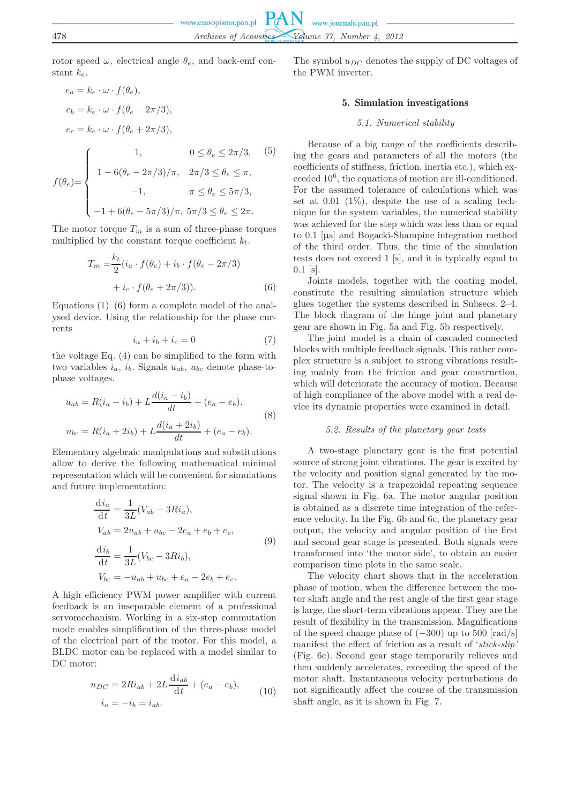rotor speed  $\omega$ , electrical angle  $\theta_e$ , and back-emf constant  $k_e$ .

$$
e_a = k_e \cdot \omega \cdot f(\theta_e),
$$
  
\n
$$
e_b = k_e \cdot \omega \cdot f(\theta_e - 2\pi/3),
$$
  
\n
$$
e_c = k_e \cdot \omega \cdot f(\theta_e + 2\pi/3),
$$
  
\n
$$
f(\theta_e) = \begin{cases} 1, & 0 \le \theta_e \le 2\pi/3, \\ 1 - 6(\theta_e - 2\pi/3)/\pi, & 2\pi/3 \le \theta_e \le \pi, \\ -1, & \pi \le \theta_e \le 5\pi/3, \\ -1 + 6(\theta_e - 5\pi/3)/\pi, & 5\pi/3 \le \theta_e \le 2\pi. \end{cases}
$$

The motor torque  $T_m$  is a sum of three-phase torques multiplied by the constant torque coefficient  $k_t$ .

$$
T_m = \frac{k_t}{2} (i_a \cdot f(\theta_e) + i_b \cdot f(\theta_e - 2\pi/3)
$$

$$
+ i_c \cdot f(\theta_e + 2\pi/3)).
$$
 (6)

Equations  $(1)$ – $(6)$  form a complete model of the analysed device. Using the relationship for the phase currents

$$
i_a + i_b + i_c = 0 \tag{7}
$$

the voltage Eq. (4) can be simplified to the form with two variables  $i_a$ ,  $i_b$ . Signals  $u_{ab}$ ,  $u_{bc}$  denote phase-tophase voltages.

$$
u_{ab} = R(i_a - i_b) + L \frac{d(i_a - i_b)}{dt} + (e_a - e_b),
$$
  
\n
$$
u_{bc} = R(i_a + 2i_b) + L \frac{d(i_a + 2i_b)}{dt} + (e_a - e_b).
$$
\n(8)

Elementary algebraic manipulations and substitutions allow to derive the following mathematical minimal representation which will be convenient for simulations and future implementation:

$$
\frac{di_a}{dt} = \frac{1}{3L}(V_{ab} - 3Ri_a),\nV_{ab} = 2u_{ab} + u_{bc} - 2e_a + e_b + e_c,\n\frac{di_b}{dt} = \frac{1}{3L}(V_{bc} - 3Ri_b),\nV_{bc} = -u_{ab} + u_{bc} + e_a - 2e_b + e_c.
$$
\n(9)

A high efficiency PWM power amplifier with current feedback is an inseparable element of a professional servomechanism. Working in a six-step commutation mode enables simplification of the three-phase model of the electrical part of the motor. For this model, a BLDC motor can be replaced with a model similar to DC motor:

$$
u_{DC} = 2Ri_{ab} + 2L\frac{di_{ab}}{dt} + (e_a - e_b),
$$
  
\n
$$
i_a = -i_b = i_{ab}.
$$
\n(10)

The symbol  $u_{DC}$  denotes the supply of DC voltages of the PWM inverter.

## 5. Simulation investigations

# *5.1. Numerical stability*

Because of a big range of the coefficients describing the gears and parameters of all the motors (the coefficients of stiffness, friction, inertia etc.), which exceeded 10<sup>6</sup> , the equations of motion are ill-conditioned. For the assumed tolerance of calculations which was set at  $0.01$   $(1\%)$ , despite the use of a scaling technique for the system variables, the numerical stability was achieved for the step which was less than or equal to 0.1 [µs] and Bogacki-Shampine integration method of the third order. Thus, the time of the simulation tests does not exceed 1 [s], and it is typically equal to  $0.1$  [s].

Joints models, together with the coating model, constitute the resulting simulation structure which glues together the systems described in Subsecs. 2–4. The block diagram of the hinge joint and planetary gear are shown in Fig. 5a and Fig. 5b respectively.

The joint model is a chain of cascaded connected blocks with multiple feedback signals. This rather complex structure is a subject to strong vibrations resulting mainly from the friction and gear construction, which will deteriorate the accuracy of motion. Because of high compliance of the above model with a real device its dynamic properties were examined in detail.

#### *5.2. Results of the planetary gear tests*

A two-stage planetary gear is the first potential source of strong joint vibrations. The gear is excited by the velocity and position signal generated by the motor. The velocity is a trapezoidal repeating sequence signal shown in Fig. 6a. The motor angular position is obtained as a discrete time integration of the reference velocity. In the Fig. 6b and 6c, the planetary gear output, the velocity and angular position of the first and second gear stage is presented. Both signals were transformed into 'the motor side', to obtain an easier comparison time plots in the same scale.

The velocity chart shows that in the acceleration phase of motion, when the difference between the motor shaft angle and the rest angle of the first gear stage is large, the short-term vibrations appear. They are the result of flexibility in the transmission. Magnifications of the speed change phase of  $(-300)$  up to 500 [rad/s] manifest the effect of friction as a result of '*stick-slip'* (Fig. 6c). Second gear stage temporarily relieves and then suddenly accelerates, exceeding the speed of the motor shaft. Instantaneous velocity perturbations do not significantly affect the course of the transmission shaft angle, as it is shown in Fig. 7.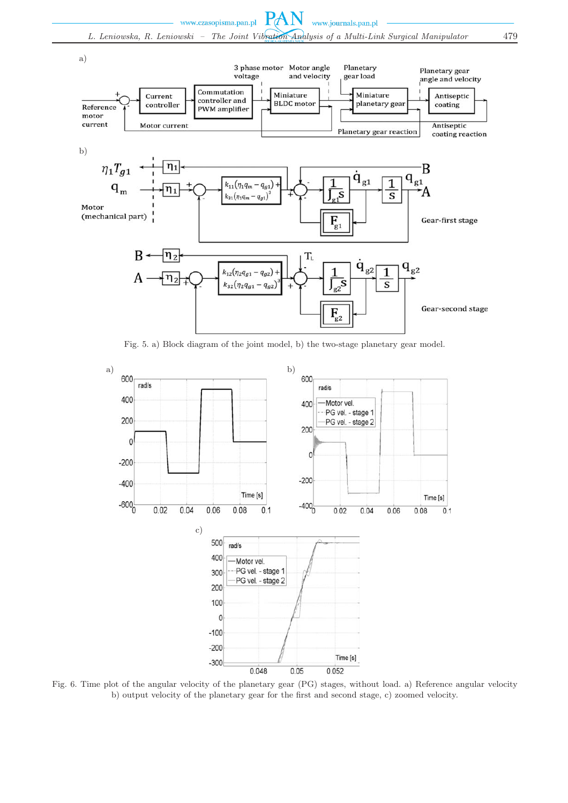

Fig. 5. a) Block diagram of the joint model, b) the two-stage planetary gear model.



Fig. 6. Time plot of the angular velocity of the planetary gear (PG) stages, without load. a) Reference angular velocity b) output velocity of the planetary gear for the first and second stage, c) zoomed velocity.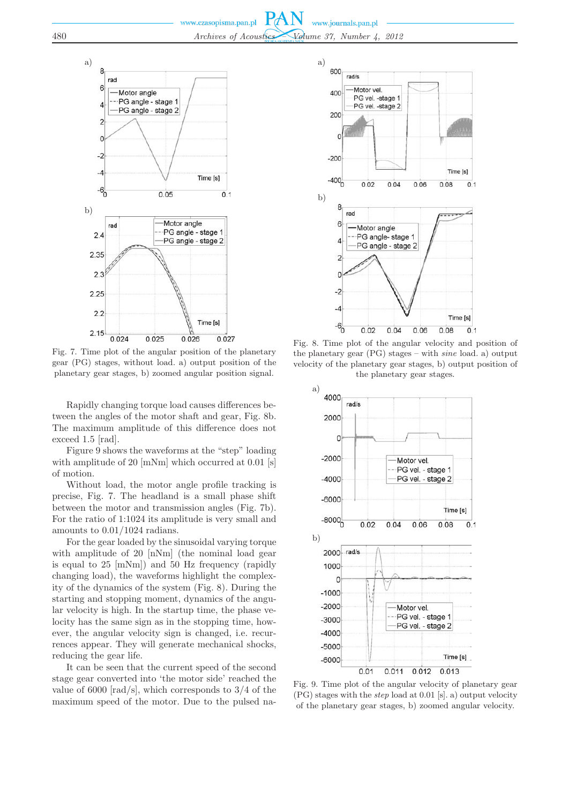

Fig. 7. Time plot of the angular position of the planetary gear (PG) stages, without load. a) output position of the planetary gear stages, b) zoomed angular position signal.

Rapidly changing torque load causes differences between the angles of the motor shaft and gear, Fig. 8b. The maximum amplitude of this difference does not exceed 1.5 [rad].

Figure 9 shows the waveforms at the "step" loading with amplitude of 20 [mNm] which occurred at 0.01 [s] of motion.

Without load, the motor angle profile tracking is precise, Fig. 7. The headland is a small phase shift between the motor and transmission angles (Fig. 7b). For the ratio of 1:1024 its amplitude is very small and amounts to 0.01/1024 radians.

For the gear loaded by the sinusoidal varying torque with amplitude of 20 [nNm] (the nominal load gear is equal to 25 [mNm]) and 50 Hz frequency (rapidly changing load), the waveforms highlight the complexity of the dynamics of the system (Fig. 8). During the starting and stopping moment, dynamics of the angular velocity is high. In the startup time, the phase velocity has the same sign as in the stopping time, however, the angular velocity sign is changed, i.e. recurrences appear. They will generate mechanical shocks, reducing the gear life.

It can be seen that the current speed of the second stage gear converted into 'the motor side' reached the value of 6000  $\lceil \text{rad/s} \rceil$ , which corresponds to 3/4 of the maximum speed of the motor. Due to the pulsed na-



Fig. 8. Time plot of the angular velocity and position of the planetary gear (PG) stages – with *sine* load. a) output velocity of the planetary gear stages, b) output position of the planetary gear stages.



Fig. 9. Time plot of the angular velocity of planetary gear (PG) stages with the *step* load at 0.01 [s]. a) output velocity of the planetary gear stages, b) zoomed angular velocity.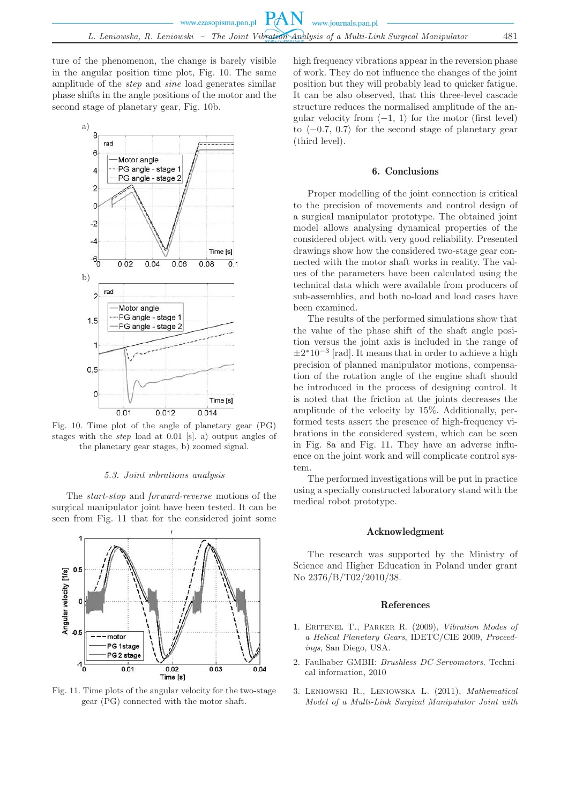ture of the phenomenon, the change is barely visible in the angular position time plot, Fig. 10. The same amplitude of the *step* and *sine* load generates similar phase shifts in the angle positions of the motor and the second stage of planetary gear, Fig. 10b.



Fig. 10. Time plot of the angle of planetary gear (PG) stages with the *step* load at 0.01 [s]. a) output angles of the planetary gear stages, b) zoomed signal.

#### *5.3. Joint vibrations analysis*

The *start-stop* and *forward-reverse* motions of the surgical manipulator joint have been tested. It can be seen from Fig. 11 that for the considered joint some



Fig. 11. Time plots of the angular velocity for the two-stage gear (PG) connected with the motor shaft.

high frequency vibrations appear in the reversion phase of work. They do not influence the changes of the joint position but they will probably lead to quicker fatigue. It can be also observed, that this three-level cascade structure reduces the normalised amplitude of the angular velocity from  $\langle -1, 1 \rangle$  for the motor (first level) to  $\langle -0.7, 0.7 \rangle$  for the second stage of planetary gear (third level).

## 6. Conclusions

Proper modelling of the joint connection is critical to the precision of movements and control design of a surgical manipulator prototype. The obtained joint model allows analysing dynamical properties of the considered object with very good reliability. Presented drawings show how the considered two-stage gear connected with the motor shaft works in reality. The values of the parameters have been calculated using the technical data which were available from producers of sub-assemblies, and both no-load and load cases have been examined.

The results of the performed simulations show that the value of the phase shift of the shaft angle position versus the joint axis is included in the range of  $\pm 2*10^{-3}$  [rad]. It means that in order to achieve a high precision of planned manipulator motions, compensation of the rotation angle of the engine shaft should be introduced in the process of designing control. It is noted that the friction at the joints decreases the amplitude of the velocity by 15%. Additionally, performed tests assert the presence of high-frequency vibrations in the considered system, which can be seen in Fig. 8a and Fig. 11. They have an adverse influence on the joint work and will complicate control system.

The performed investigations will be put in practice using a specially constructed laboratory stand with the medical robot prototype.

#### Acknowledgment

The research was supported by the Ministry of Science and Higher Education in Poland under grant No 2376/B/T02/2010/38.

## References

- 1. Eritenel T., Parker R. (2009), *Vibration Modes of a Helical Planetary Gears*, IDETC/CIE 2009, *Proceedings*, San Diego, USA.
- 2. Faulhaber GMBH: *Brushless DC-Servomotors*. Technical information, 2010
- 3. Leniowski R., Leniowska L. (2011), *Mathematical Model of a Multi-Link Surgical Manipulator Joint with*